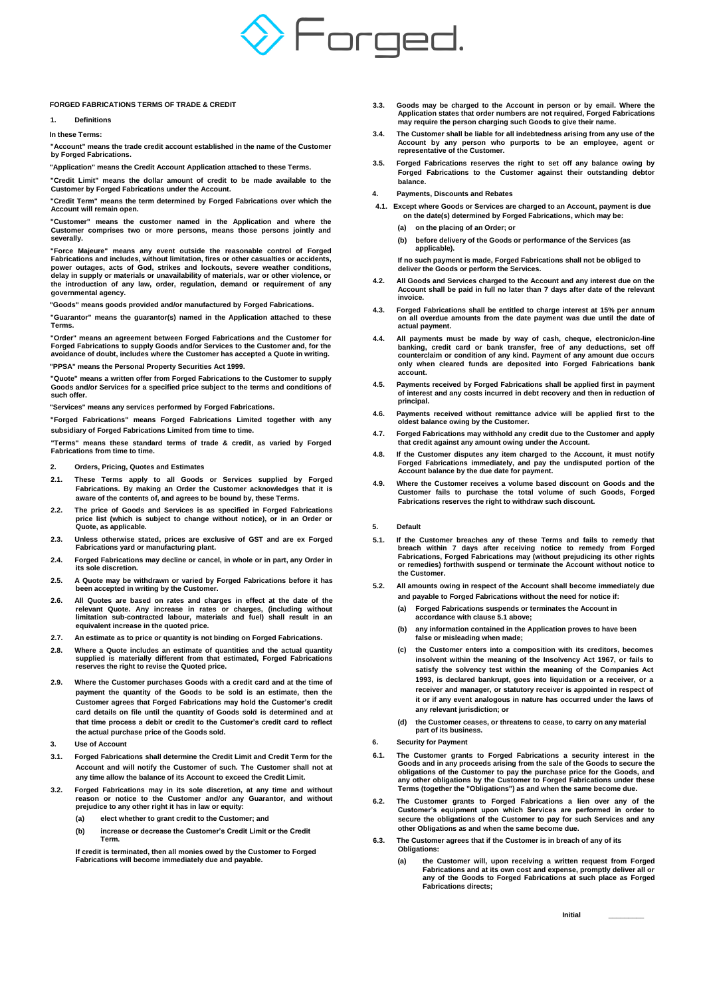

## **FORGED FABRICATIONS TERMS OF TRADE & CREDIT**

**1. Definitions**

**In these Terms:**

**"Account" means the trade credit account established in the name of the Customer by Forged Fabrications.**

**"Application" means the Credit Account Application attached to these Terms.**

**"Credit Limit" means the dollar amount of credit to be made available to the Customer by Forged Fabrications under the Account.**

**"Credit Term" means the term determined by Forged Fabrications over which the Account will remain open.**

**"Customer" means the customer named in the Application and where the Customer comprises two or more persons, means those persons jointly and severally.**

**"Force Majeure" means any event outside the reasonable control of Forged Fabrications and includes, without limitation, fires or other casualties or accidents, power outages, acts of God, strikes and lockouts, severe weather conditions, delay in supply or materials or unavailability of materials, war or other violence, or the introduction of any law, order, regulation, demand or requirement of any governmental agency.**

**"Goods" means goods provided and/or manufactured by Forged Fabrications.**

**"Guarantor" means the guarantor(s) named in the Application attached to these Terms.**

**"Order" means an agreement between Forged Fabrications and the Customer for Forged Fabrications to supply Goods and/or Services to the Customer and, for the avoidance of doubt, includes where the Customer has accepted a Quote in writing.**

**"PPSA" means the Personal Property Securities Act 1999.**

**"Quote" means a written offer from Forged Fabrications to the Customer to supply Goods and/or Services for a specified price subject to the terms and conditions of such offer.**

**"Services" means any services performed by Forged Fabrications.**

**"Forged Fabrications" means Forged Fabrications Limited together with any subsidiary of Forged Fabrications Limited from time to time.**

**"Terms" means these standard terms of trade & credit, as varied by Forged Fabrications from time to time.**

- **2. Orders, Pricing, Quotes and Estimates**
- **2.1. These Terms apply to all Goods or Services supplied by Forged Fabrications. By making an Order the Customer acknowledges that it is aware of the contents of, and agrees to be bound by, these Terms.**
- **2.2. The price of Goods and Services is as specified in Forged Fabrications price list (which is subject to change without notice), or in an Order or Quote, as applicable.**
- **2.3. Unless otherwise stated, prices are exclusive of GST and are ex Forged Fabrications yard or manufacturing plant.**
- **2.4. Forged Fabrications may decline or cancel, in whole or in part, any Order in its sole discretion.**
- **2.5. A Quote may be withdrawn or varied by Forged Fabrications before it has been accepted in writing by the Customer.**
- **2.6. All Quotes are based on rates and charges in effect at the date of the relevant Quote. Any increase in rates or charges, (including without limitation sub-contracted labour, materials and fuel) shall result in an equivalent increase in the quoted price.**
- **2.7. An estimate as to price or quantity is not binding on Forged Fabrications.**
- **2.8. Where a Quote includes an estimate of quantities and the actual quantity supplied is materially different from that estimated, Forged Fabrications reserves the right to revise the Quoted price.**
- **2.9. Where the Customer purchases Goods with a credit card and at the time of payment the quantity of the Goods to be sold is an estimate, then the Customer agrees that Forged Fabrications may hold the Customer's credit card details on file until the quantity of Goods sold is determined and at that time process a debit or credit to the Customer's credit card to reflect the actual purchase price of the Goods sold.**
- **3. Use of Account**
- **3.1. Forged Fabrications shall determine the Credit Limit and Credit Term for the Account and will notify the Customer of such. The Customer shall not at any time allow the balance of its Account to exceed the Credit Limit.**
- **3.2. Forged Fabrications may in its sole discretion, at any time and without reason or notice to the Customer and/or any Guarantor, and without prejudice to any other right it has in law or equity:**
	- **(a) elect whether to grant credit to the Customer; and**
	- **(b) increase or decrease the Customer's Credit Limit or the Credit Term.**

**If credit is terminated, then all monies owed by the Customer to Forged Fabrications will become immediately due and payable.**

- **3.3. Goods may be charged to the Account in person or by email. Where the Application states that order numbers are not required, Forged Fabrications may require the person charging such Goods to give their name.**
- **3.4. The Customer shall be liable for all indebtedness arising from any use of the Account by any person who purports to be an employee, agent or representative of the Customer.**
- **3.5. Forged Fabrications reserves the right to set off any balance owing by Forged Fabrications to the Customer against their outstanding debtor balance.**
- **4. Payments, Discounts and Rebates**
- **4.1. Except where Goods or Services are charged to an Account, payment is due on the date(s) determined by Forged Fabrications, which may be:**
	- **(a) on the placing of an Order; or**
	- **(b) before delivery of the Goods or performance of the Services (as applicable).**

**If no such payment is made, Forged Fabrications shall not be obliged to deliver the Goods or perform the Services.**

- **4.2. All Goods and Services charged to the Account and any interest due on the Account shall be paid in full no later than 7 days after date of the relevant invoice.**
- **4.3. Forged Fabrications shall be entitled to charge interest at 15% per annum on all overdue amounts from the date payment was due until the date of actual payment.**
- 4.4. All payments must be made by way of cash, cheque, electronic/on-line<br>banking, credit card or bank transfer, free of any deductions, set off<br>counterclaim or condition of any kind. Payment of any amount due occurs **only when cleared funds are deposited into Forged Fabrications bank account.**
- **4.5. Payments received by Forged Fabrications shall be applied first in payment of interest and any costs incurred in debt recovery and then in reduction of principal.**
- **4.6. Payments received without remittance advice will be applied first to the oldest balance owing by the Customer.**
- **4.7. Forged Fabrications may withhold any credit due to the Customer and apply that credit against any amount owing under the Account.**
- **4.8. If the Customer disputes any item charged to the Account, it must notify Forged Fabrications immediately, and pay the undisputed portion of the Account balance by the due date for payment.**
- **4.9. Where the Customer receives a volume based discount on Goods and the Customer fails to purchase the total volume of such Goods, Forged Fabrications reserves the right to withdraw such discount.**
- **5. Default**
- **5.1. If the Customer breaches any of these Terms and fails to remedy that breach within 7 days after receiving notice to remedy from Forged Fabrications, Forged Fabrications may (without prejudicing its other rights or remedies) forthwith suspend or terminate the Account without notice to the Customer.**
- **5.2. All amounts owing in respect of the Account shall become immediately due and payable to Forged Fabrications without the need for notice if:**
	- **(a) Forged Fabrications suspends or terminates the Account in accordance with clause 5.1 above;**
	- **(b) any information contained in the Application proves to have been false or misleading when made;**
	- **(c) the Customer enters into a composition with its creditors, becomes insolvent within the meaning of the Insolvency Act 1967, or fails to satisfy the solvency test within the meaning of the Companies Act 1993, is declared bankrupt, goes into liquidation or a receiver, or a receiver and manager, or statutory receiver is appointed in respect of it or if any event analogous in nature has occurred under the laws of any relevant jurisdiction; or**
	- **(d) the Customer ceases, or threatens to cease, to carry on any material part of its business.**
- **6. Security for Payment**
- **6.1. The Customer grants to Forged Fabrications a security interest in the Goods and in any proceeds arising from the sale of the Goods to secure the obligations of the Customer to pay the purchase price for the Goods, and any other obligations by the Customer to Forged Fabrications under these Terms (together the "Obligations") as and when the same become due.**
- **6.2. The Customer grants to Forged Fabrications a lien over any of the Customer's equipment upon which Services are performed in order to secure the obligations of the Customer to pay for such Services and any other Obligations as and when the same become due.**
- **6.3. The Customer agrees that if the Customer is in breach of any of its Obligations:**
	- **(a) the Customer will, upon receiving a written request from Forged Fabrications and at its own cost and expense, promptly deliver all or any of the Goods to Forged Fabrications at such place as Forged Fabrications directs;**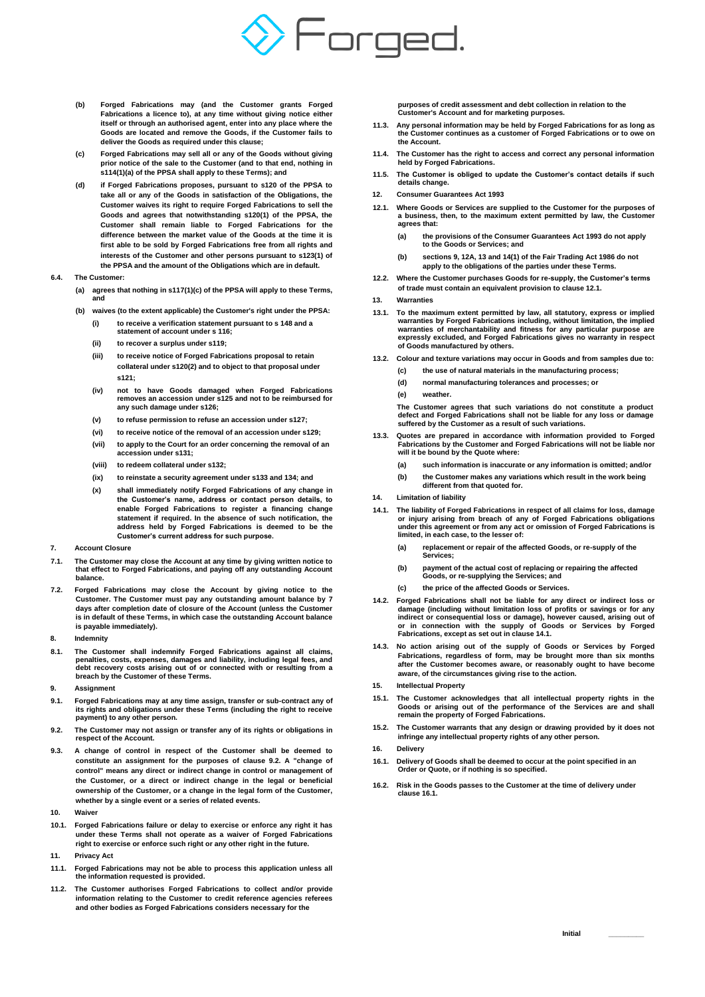

- **(b) Forged Fabrications may (and the Customer grants Forged Fabrications a licence to), at any time without giving notice either itself or through an authorised agent, enter into any place where the Goods are located and remove the Goods, if the Customer fails to deliver the Goods as required under this clause;**
- **(c) Forged Fabrications may sell all or any of the Goods without giving prior notice of the sale to the Customer (and to that end, nothing in s114(1)(a) of the PPSA shall apply to these Terms); and**
- **(d) if Forged Fabrications proposes, pursuant to s120 of the PPSA to take all or any of the Goods in satisfaction of the Obligations, the Customer waives its right to require Forged Fabrications to sell the Goods and agrees that notwithstanding s120(1) of the PPSA, the Customer shall remain liable to Forged Fabrications for the difference between the market value of the Goods at the time it is first able to be sold by Forged Fabrications free from all rights and interests of the Customer and other persons pursuant to s123(1) of the PPSA and the amount of the Obligations which are in default.**

## **6.4. The Customer:**

- **(a) agrees that nothing in s117(1)(c) of the PPSA will apply to these Terms, and**
- **(b) waives (to the extent applicable) the Customer's right under the PPSA: (i) to receive a verification statement pursuant to s 148 and a** 
	- **statement of account under s 116;**
	- **(ii) to recover a surplus under s119;**
	- **(iii) to receive notice of Forged Fabrications proposal to retain collateral under s120(2) and to object to that proposal under s121;**
	- **(iv) not to have Goods damaged when Forged Fabrications removes an accession under s125 and not to be reimbursed for any such damage under s126;**
	- **(v) to refuse permission to refuse an accession under s127;**
	- **(vi) to receive notice of the removal of an accession under s129;**
	- **(vii) to apply to the Court for an order concerning the removal of an accession under s131;**
	- **(viii) to redeem collateral under s132;**
	- **(ix) to reinstate a security agreement under s133 and 134; and**
	- **(x) shall immediately notify Forged Fabrications of any change in the Customer's name, address or contact person details, to enable Forged Fabrications to register a financing change statement if required. In the absence of such notification, the address held by Forged Fabrications is deemed to be the Customer's current address for such purpose.**
- **7. Account Closure**
- **7.1. The Customer may close the Account at any time by giving written notice to that effect to Forged Fabrications, and paying off any outstanding Account balance.**
- **7.2. Forged Fabrications may close the Account by giving notice to the Customer. The Customer must pay any outstanding amount balance by 7 days after completion date of closure of the Account (unless the Customer is in default of these Terms, in which case the outstanding Account balance is payable immediately).**
- **8. Indemnity**
- **8.1. The Customer shall indemnify Forged Fabrications against all claims, penalties, costs, expenses, damages and liability, including legal fees, and debt recovery costs arising out of or connected with or resulting from a breach by the Customer of these Terms.**
- **9. Assignment**
- **9.1. Forged Fabrications may at any time assign, transfer or sub-contract any of its rights and obligations under these Terms (including the right to receive payment) to any other person.**
- **9.2. The Customer may not assign or transfer any of its rights or obligations in respect of the Account.**
- **9.3. A change of control in respect of the Customer shall be deemed to constitute an assignment for the purposes of clause 9.2. A "change of control" means any direct or indirect change in control or management of the Customer, or a direct or indirect change in the legal or beneficial ownership of the Customer, or a change in the legal form of the Customer, whether by a single event or a series of related events.**
- **10. Waiver**
- **10.1. Forged Fabrications failure or delay to exercise or enforce any right it has under these Terms shall not operate as a waiver of Forged Fabrications right to exercise or enforce such right or any other right in the future.**
- **11. Privacy Act**
- **11.1. Forged Fabrications may not be able to process this application unless all the information requested is provided.**
- **11.2. The Customer authorises Forged Fabrications to collect and/or provide information relating to the Customer to credit reference agencies referees and other bodies as Forged Fabrications considers necessary for the**

**purposes of credit assessment and debt collection in relation to the Customer's Account and for marketing purposes.**

- **11.3. Any personal information may be held by Forged Fabrications for as long as the Customer continues as a customer of Forged Fabrications or to owe on the Account.**
- **11.4. The Customer has the right to access and correct any personal information held by Forged Fabrications.**
- **11.5. The Customer is obliged to update the Customer's contact details if such details change.**
- **12. Consumer Guarantees Act 1993**
- **12.1. Where Goods or Services are supplied to the Customer for the purposes of a business, then, to the maximum extent permitted by law, the Customer agrees that:**
	- **(a) the provisions of the Consumer Guarantees Act 1993 do not apply to the Goods or Services; and**
	- **(b) sections 9, 12A, 13 and 14(1) of the Fair Trading Act 1986 do not apply to the obligations of the parties under these Terms.**
- **12.2. Where the Customer purchases Goods for re-supply, the Customer's terms of trade must contain an equivalent provision to clause 12.1.**
- **13. Warranties**
- 13.1. To the maximum extent permitted by law, all statutory, express or implied<br>warranties by Forged Fabrications including, without limitation, the implied<br>warranties of merchantability and fitness for any particular purp **expressly excluded, and Forged Fabrications gives no warranty in respect of Goods manufactured by others.**
- **13.2. Colour and texture variations may occur in Goods and from samples due to: (c) the use of natural materials in the manufacturing process;**
	- **(d) normal manufacturing tolerances and processes; or**
		-
	- **(e) weather.**

**The Customer agrees that such variations do not constitute a product defect and Forged Fabrications shall not be liable for any loss or damage suffered by the Customer as a result of such variations.**

- **13.3. Quotes are prepared in accordance with information provided to Forged Fabrications by the Customer and Forged Fabrications will not be liable nor will it be bound by the Quote where:**
	- **(a) such information is inaccurate or any information is omitted; and/or**
	- **(b) the Customer makes any variations which result in the work being different from that quoted for.**
- **14. Limitation of liability**
- **14.1. The liability of Forged Fabrications in respect of all claims for loss, damage or injury arising from breach of any of Forged Fabrications obligations under this agreement or from any act or omission of Forged Fabrications is limited, in each case, to the lesser of:**
	- **(a) replacement or repair of the affected Goods, or re-supply of the Services;**
	- **(b) payment of the actual cost of replacing or repairing the affected Goods, or re-supplying the Services; and**
	- **(c) the price of the affected Goods or Services.**
- **14.2. Forged Fabrications shall not be liable for any direct or indirect loss or damage (including without limitation loss of profits or savings or for any indirect or consequential loss or damage), however caused, arising out of or in connection with the supply of Goods or Services by Forged Fabrications, except as set out in clause 14.1.**
- **14.3. No action arising out of the supply of Goods or Services by Forged Fabrications, regardless of form, may be brought more than six months after the Customer becomes aware, or reasonably ought to have become aware, of the circumstances giving rise to the action.**
- **15. Intellectual Property**
- **15.1. The Customer acknowledges that all intellectual property rights in the Goods or arising out of the performance of the Services are and shall remain the property of Forged Fabrications.**
- **15.2. The Customer warrants that any design or drawing provided by it does not infringe any intellectual property rights of any other person.**
- **16. Delivery**
- **16.1. Delivery of Goods shall be deemed to occur at the point specified in an Order or Quote, or if nothing is so specified.**
- **16.2. Risk in the Goods passes to the Customer at the time of delivery under clause 16.1.**